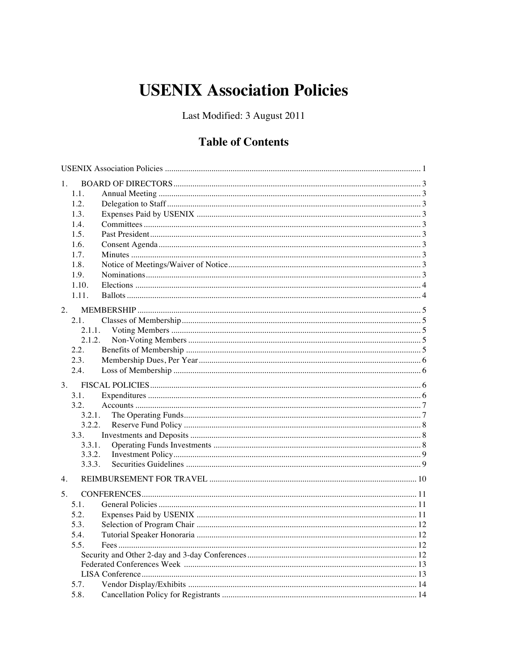# **USENIX Association Policies**

Last Modified: 3 August 2011

# **Table of Contents**

| 1.    |        |  |
|-------|--------|--|
| 1.1.  |        |  |
| 1.2.  |        |  |
| 1.3.  |        |  |
| 1.4.  |        |  |
| 1.5.  |        |  |
| 1.6.  |        |  |
| 1.7.  |        |  |
| 1.8.  |        |  |
| 1.9.  |        |  |
| 1.10. |        |  |
| 1.11. |        |  |
| 2.    |        |  |
| 2.1.  |        |  |
|       | 2.1.1. |  |
|       | 2.1.2. |  |
| 2.2.  |        |  |
| 2.3.  |        |  |
| 2.4.  |        |  |
|       |        |  |
| 3.    |        |  |
| 3.1.  |        |  |
| 3.2.  |        |  |
|       | 3.2.1. |  |
|       | 3.2.2. |  |
| 3.3.  |        |  |
|       | 3.3.1. |  |
|       | 3.3.2. |  |
|       | 3.3.3. |  |
| 4.    |        |  |
| 5.    |        |  |
| 5.1.  |        |  |
| 5.2.  |        |  |
| 5.3.  |        |  |
| 5.4.  |        |  |
| 5.5.  |        |  |
|       |        |  |
|       |        |  |
|       |        |  |
| 5.7.  |        |  |
| 5.8.  |        |  |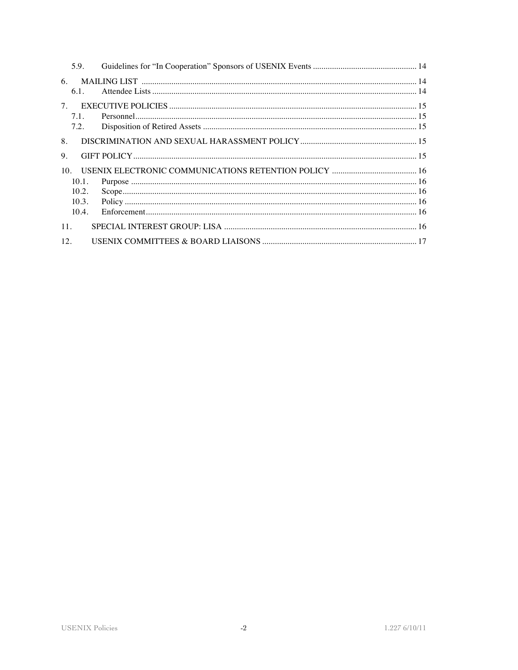| 6.<br>$6.1$ .             |  |
|---------------------------|--|
| 7.<br>7.1.<br>7.2.        |  |
| 8.<br>9.                  |  |
| 10 <sub>1</sub><br>10.1.  |  |
| 10.2<br>10.3.<br>$10.4$ . |  |
| 11.                       |  |
| 12.                       |  |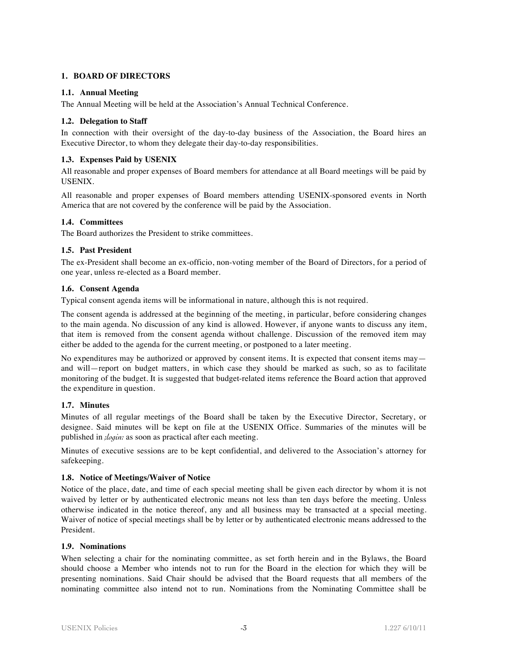# **1. BOARD OF DIRECTORS**

# **1.1. Annual Meeting**

The Annual Meeting will be held at the Association's Annual Technical Conference.

#### **1.2. Delegation to Staff**

In connection with their oversight of the day-to-day business of the Association, the Board hires an Executive Director, to whom they delegate their day-to-day responsibilities.

# **1.3. Expenses Paid by USENIX**

All reasonable and proper expenses of Board members for attendance at all Board meetings will be paid by USENIX.

All reasonable and proper expenses of Board members attending USENIX-sponsored events in North America that are not covered by the conference will be paid by the Association.

#### **1.4. Committees**

The Board authorizes the President to strike committees.

#### **1.5. Past President**

The ex-President shall become an ex-officio, non-voting member of the Board of Directors, for a period of one year, unless re-elected as a Board member.

#### **1.6. Consent Agenda**

Typical consent agenda items will be informational in nature, although this is not required.

The consent agenda is addressed at the beginning of the meeting, in particular, before considering changes to the main agenda. No discussion of any kind is allowed. However, if anyone wants to discuss any item, that item is removed from the consent agenda without challenge. Discussion of the removed item may either be added to the agenda for the current meeting, or postponed to a later meeting.

No expenditures may be authorized or approved by consent items. It is expected that consent items may and will—report on budget matters, in which case they should be marked as such, so as to facilitate monitoring of the budget. It is suggested that budget-related items reference the Board action that approved the expenditure in question.

# **1.7. Minutes**

Minutes of all regular meetings of the Board shall be taken by the Executive Director, Secretary, or designee. Said minutes will be kept on file at the USENIX Office. Summaries of the minutes will be published in *;login:* as soon as practical after each meeting.

Minutes of executive sessions are to be kept confidential, and delivered to the Association's attorney for safekeeping.

# **1.8. Notice of Meetings/Waiver of Notice**

Notice of the place, date, and time of each special meeting shall be given each director by whom it is not waived by letter or by authenticated electronic means not less than ten days before the meeting. Unless otherwise indicated in the notice thereof, any and all business may be transacted at a special meeting. Waiver of notice of special meetings shall be by letter or by authenticated electronic means addressed to the President.

#### **1.9. Nominations**

When selecting a chair for the nominating committee, as set forth herein and in the Bylaws, the Board should choose a Member who intends not to run for the Board in the election for which they will be presenting nominations. Said Chair should be advised that the Board requests that all members of the nominating committee also intend not to run. Nominations from the Nominating Committee shall be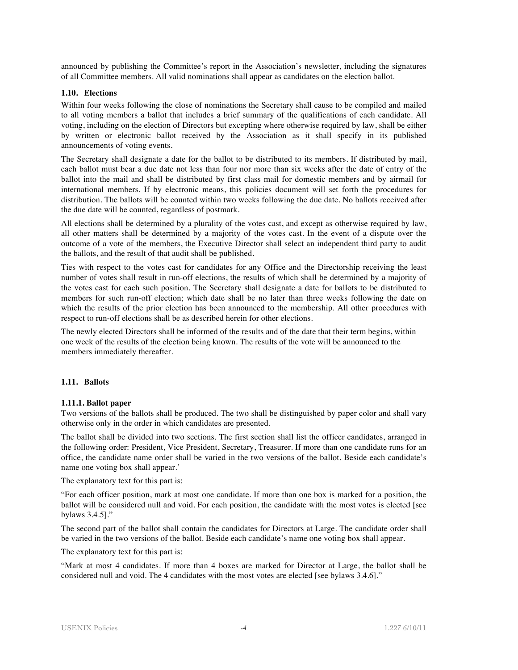announced by publishing the Committee's report in the Association's newsletter, including the signatures of all Committee members. All valid nominations shall appear as candidates on the election ballot.

#### **1.10. Elections**

Within four weeks following the close of nominations the Secretary shall cause to be compiled and mailed to all voting members a ballot that includes a brief summary of the qualifications of each candidate. All voting, including on the election of Directors but excepting where otherwise required by law, shall be either by written or electronic ballot received by the Association as it shall specify in its published announcements of voting events.

The Secretary shall designate a date for the ballot to be distributed to its members. If distributed by mail, each ballot must bear a due date not less than four nor more than six weeks after the date of entry of the ballot into the mail and shall be distributed by first class mail for domestic members and by airmail for international members. If by electronic means, this policies document will set forth the procedures for distribution. The ballots will be counted within two weeks following the due date. No ballots received after the due date will be counted, regardless of postmark.

All elections shall be determined by a plurality of the votes cast, and except as otherwise required by law, all other matters shall be determined by a majority of the votes cast. In the event of a dispute over the outcome of a vote of the members, the Executive Director shall select an independent third party to audit the ballots, and the result of that audit shall be published.

Ties with respect to the votes cast for candidates for any Office and the Directorship receiving the least number of votes shall result in run-off elections, the results of which shall be determined by a majority of the votes cast for each such position. The Secretary shall designate a date for ballots to be distributed to members for such run-off election; which date shall be no later than three weeks following the date on which the results of the prior election has been announced to the membership. All other procedures with respect to run-off elections shall be as described herein for other elections.

The newly elected Directors shall be informed of the results and of the date that their term begins, within one week of the results of the election being known. The results of the vote will be announced to the members immediately thereafter.

#### **1.11. Ballots**

#### **1.11.1. Ballot paper**

Two versions of the ballots shall be produced. The two shall be distinguished by paper color and shall vary otherwise only in the order in which candidates are presented.

The ballot shall be divided into two sections. The first section shall list the officer candidates, arranged in the following order: President, Vice President, Secretary, Treasurer. If more than one candidate runs for an office, the candidate name order shall be varied in the two versions of the ballot. Beside each candidate's name one voting box shall appear.'

The explanatory text for this part is:

"For each officer position, mark at most one candidate. If more than one box is marked for a position, the ballot will be considered null and void. For each position, the candidate with the most votes is elected [see bylaws 3.4.5]."

The second part of the ballot shall contain the candidates for Directors at Large. The candidate order shall be varied in the two versions of the ballot. Beside each candidate's name one voting box shall appear.

The explanatory text for this part is:

"Mark at most 4 candidates. If more than 4 boxes are marked for Director at Large, the ballot shall be considered null and void. The 4 candidates with the most votes are elected [see bylaws 3.4.6]."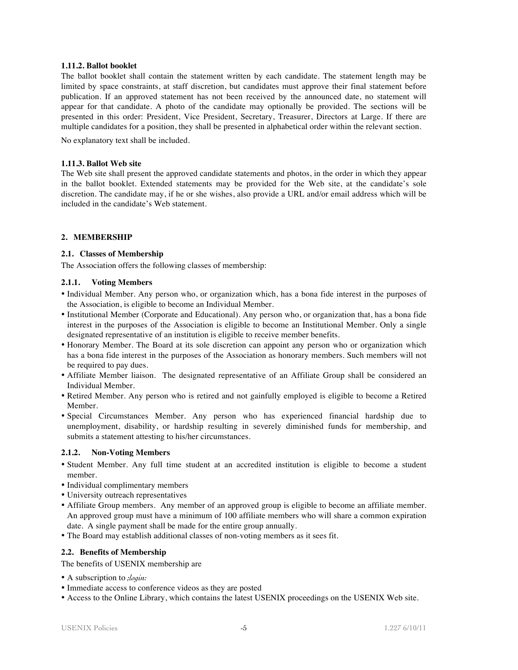#### **1.11.2. Ballot booklet**

The ballot booklet shall contain the statement written by each candidate. The statement length may be limited by space constraints, at staff discretion, but candidates must approve their final statement before publication. If an approved statement has not been received by the announced date, no statement will appear for that candidate. A photo of the candidate may optionally be provided. The sections will be presented in this order: President, Vice President, Secretary, Treasurer, Directors at Large. If there are multiple candidates for a position, they shall be presented in alphabetical order within the relevant section.

No explanatory text shall be included.

#### **1.11.3. Ballot Web site**

The Web site shall present the approved candidate statements and photos, in the order in which they appear in the ballot booklet. Extended statements may be provided for the Web site, at the candidate's sole discretion. The candidate may, if he or she wishes, also provide a URL and/or email address which will be included in the candidate's Web statement.

#### **2. MEMBERSHIP**

#### **2.1. Classes of Membership**

The Association offers the following classes of membership:

#### **2.1.1. Voting Members**

- Individual Member. Any person who, or organization which, has a bona fide interest in the purposes of the Association, is eligible to become an Individual Member.
- Institutional Member (Corporate and Educational). Any person who, or organization that, has a bona fide interest in the purposes of the Association is eligible to become an Institutional Member. Only a single designated representative of an institution is eligible to receive member benefits.
- Honorary Member. The Board at its sole discretion can appoint any person who or organization which has a bona fide interest in the purposes of the Association as honorary members. Such members will not be required to pay dues.
- Affiliate Member liaison. The designated representative of an Affiliate Group shall be considered an Individual Member.
- Retired Member. Any person who is retired and not gainfully employed is eligible to become a Retired Member.
- Special Circumstances Member. Any person who has experienced financial hardship due to unemployment, disability, or hardship resulting in severely diminished funds for membership, and submits a statement attesting to his/her circumstances.

#### **2.1.2. Non-Voting Members**

- Student Member. Any full time student at an accredited institution is eligible to become a student member.
- Individual complimentary members
- University outreach representatives
- Affiliate Group members. Any member of an approved group is eligible to become an affiliate member. An approved group must have a minimum of 100 affiliate members who will share a common expiration date. A single payment shall be made for the entire group annually.
- The Board may establish additional classes of non-voting members as it sees fit.

#### **2.2. Benefits of Membership**

The benefits of USENIX membership are

- A subscription to *;login:*
- Immediate access to conference videos as they are posted
- Access to the Online Library, which contains the latest USENIX proceedings on the USENIX Web site.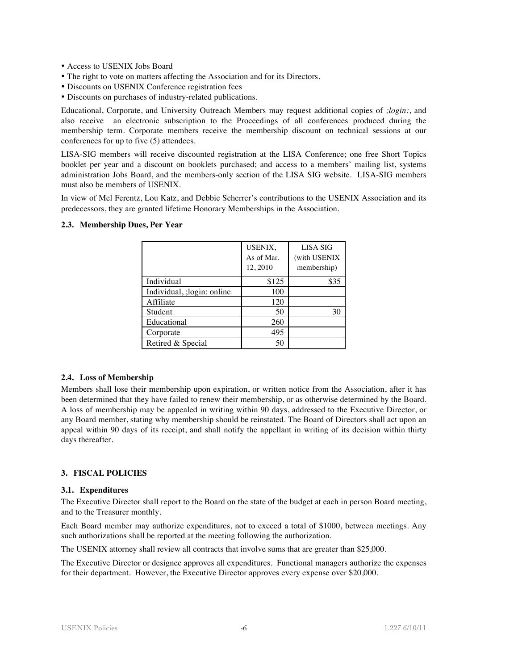- Access to USENIX Jobs Board
- The right to vote on matters affecting the Association and for its Directors.
- Discounts on USENIX Conference registration fees

• Discounts on purchases of industry-related publications.

Educational, Corporate, and University Outreach Members may request additional copies of *;login:*, and also receive an electronic subscription to the Proceedings of all conferences produced during the membership term. Corporate members receive the membership discount on technical sessions at our conferences for up to five (5) attendees.

LISA-SIG members will receive discounted registration at the LISA Conference; one free Short Topics booklet per year and a discount on booklets purchased; and access to a members' mailing list, systems administration Jobs Board, and the members-only section of the LISA SIG website. LISA-SIG members must also be members of USENIX.

In view of Mel Ferentz, Lou Katz, and Debbie Scherrer's contributions to the USENIX Association and its predecessors, they are granted lifetime Honorary Memberships in the Association.

|                             | USENIX,<br>As of Mar.<br>12, 2010 | LISA SIG<br>(with USENIX<br>membership) |
|-----------------------------|-----------------------------------|-----------------------------------------|
| Individual                  | \$125                             | \$35                                    |
| Individual, ; login: online | 100                               |                                         |
| Affiliate                   | 120                               |                                         |
| Student                     | 50                                | 30                                      |
| Educational                 | 260                               |                                         |
| Corporate                   | 495                               |                                         |
| Retired & Special           | 50                                |                                         |

#### **2.3. Membership Dues, Per Year**

#### **2.4. Loss of Membership**

Members shall lose their membership upon expiration, or written notice from the Association, after it has been determined that they have failed to renew their membership, or as otherwise determined by the Board. A loss of membership may be appealed in writing within 90 days, addressed to the Executive Director, or any Board member, stating why membership should be reinstated. The Board of Directors shall act upon an appeal within 90 days of its receipt, and shall notify the appellant in writing of its decision within thirty days thereafter.

#### **3. FISCAL POLICIES**

#### **3.1. Expenditures**

The Executive Director shall report to the Board on the state of the budget at each in person Board meeting, and to the Treasurer monthly.

Each Board member may authorize expenditures, not to exceed a total of \$1000, between meetings. Any such authorizations shall be reported at the meeting following the authorization.

The USENIX attorney shall review all contracts that involve sums that are greater than \$25,000.

The Executive Director or designee approves all expenditures. Functional managers authorize the expenses for their department. However, the Executive Director approves every expense over \$20,000.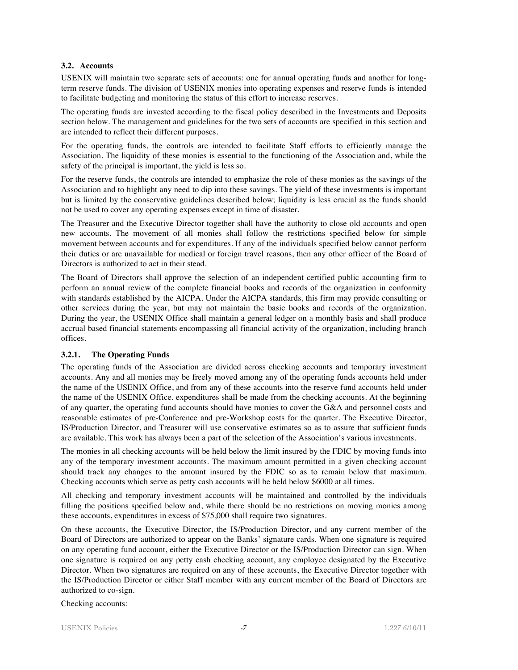# **3.2. Accounts**

USENIX will maintain two separate sets of accounts: one for annual operating funds and another for longterm reserve funds. The division of USENIX monies into operating expenses and reserve funds is intended to facilitate budgeting and monitoring the status of this effort to increase reserves.

The operating funds are invested according to the fiscal policy described in the Investments and Deposits section below. The management and guidelines for the two sets of accounts are specified in this section and are intended to reflect their different purposes.

For the operating funds, the controls are intended to facilitate Staff efforts to efficiently manage the Association. The liquidity of these monies is essential to the functioning of the Association and, while the safety of the principal is important, the yield is less so.

For the reserve funds, the controls are intended to emphasize the role of these monies as the savings of the Association and to highlight any need to dip into these savings. The yield of these investments is important but is limited by the conservative guidelines described below; liquidity is less crucial as the funds should not be used to cover any operating expenses except in time of disaster.

The Treasurer and the Executive Director together shall have the authority to close old accounts and open new accounts. The movement of all monies shall follow the restrictions specified below for simple movement between accounts and for expenditures. If any of the individuals specified below cannot perform their duties or are unavailable for medical or foreign travel reasons, then any other officer of the Board of Directors is authorized to act in their stead.

The Board of Directors shall approve the selection of an independent certified public accounting firm to perform an annual review of the complete financial books and records of the organization in conformity with standards established by the AICPA. Under the AICPA standards, this firm may provide consulting or other services during the year, but may not maintain the basic books and records of the organization. During the year, the USENIX Office shall maintain a general ledger on a monthly basis and shall produce accrual based financial statements encompassing all financial activity of the organization, including branch offices.

# **3.2.1. The Operating Funds**

The operating funds of the Association are divided across checking accounts and temporary investment accounts. Any and all monies may be freely moved among any of the operating funds accounts held under the name of the USENIX Office, and from any of these accounts into the reserve fund accounts held under the name of the USENIX Office. expenditures shall be made from the checking accounts. At the beginning of any quarter, the operating fund accounts should have monies to cover the G&A and personnel costs and reasonable estimates of pre-Conference and pre-Workshop costs for the quarter. The Executive Director, IS/Production Director, and Treasurer will use conservative estimates so as to assure that sufficient funds are available. This work has always been a part of the selection of the Association's various investments.

The monies in all checking accounts will be held below the limit insured by the FDIC by moving funds into any of the temporary investment accounts. The maximum amount permitted in a given checking account should track any changes to the amount insured by the FDIC so as to remain below that maximum. Checking accounts which serve as petty cash accounts will be held below \$6000 at all times.

All checking and temporary investment accounts will be maintained and controlled by the individuals filling the positions specified below and, while there should be no restrictions on moving monies among these accounts, expenditures in excess of \$75,000 shall require two signatures.

On these accounts, the Executive Director, the IS/Production Director, and any current member of the Board of Directors are authorized to appear on the Banks' signature cards. When one signature is required on any operating fund account, either the Executive Director or the IS/Production Director can sign. When one signature is required on any petty cash checking account, any employee designated by the Executive Director. When two signatures are required on any of these accounts, the Executive Director together with the IS/Production Director or either Staff member with any current member of the Board of Directors are authorized to co-sign.

Checking accounts: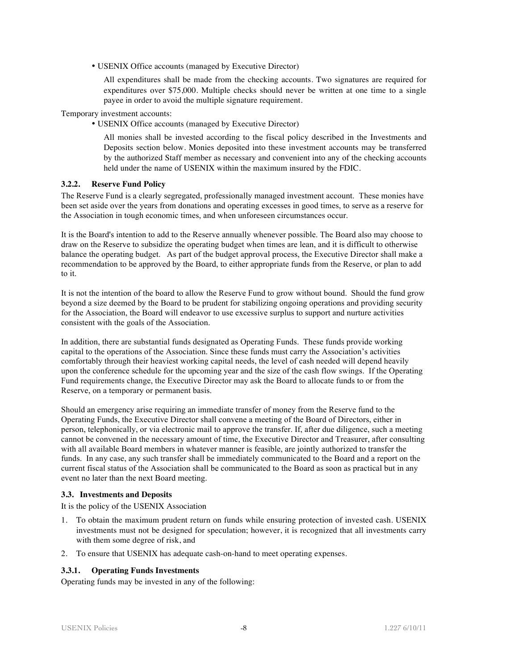• USENIX Office accounts (managed by Executive Director)

All expenditures shall be made from the checking accounts. Two signatures are required for expenditures over \$75,000. Multiple checks should never be written at one time to a single payee in order to avoid the multiple signature requirement.

Temporary investment accounts:

• USENIX Office accounts (managed by Executive Director)

All monies shall be invested according to the fiscal policy described in the Investments and Deposits section below. Monies deposited into these investment accounts may be transferred by the authorized Staff member as necessary and convenient into any of the checking accounts held under the name of USENIX within the maximum insured by the FDIC.

#### **3.2.2. Reserve Fund Policy**

The Reserve Fund is a clearly segregated, professionally managed investment account. These monies have been set aside over the years from donations and operating excesses in good times, to serve as a reserve for the Association in tough economic times, and when unforeseen circumstances occur.

It is the Board's intention to add to the Reserve annually whenever possible. The Board also may choose to draw on the Reserve to subsidize the operating budget when times are lean, and it is difficult to otherwise balance the operating budget. As part of the budget approval process, the Executive Director shall make a recommendation to be approved by the Board, to either appropriate funds from the Reserve, or plan to add to it.

It is not the intention of the board to allow the Reserve Fund to grow without bound. Should the fund grow beyond a size deemed by the Board to be prudent for stabilizing ongoing operations and providing security for the Association, the Board will endeavor to use excessive surplus to support and nurture activities consistent with the goals of the Association.

In addition, there are substantial funds designated as Operating Funds. These funds provide working capital to the operations of the Association. Since these funds must carry the Association's activities comfortably through their heaviest working capital needs, the level of cash needed will depend heavily upon the conference schedule for the upcoming year and the size of the cash flow swings. If the Operating Fund requirements change, the Executive Director may ask the Board to allocate funds to or from the Reserve, on a temporary or permanent basis.

Should an emergency arise requiring an immediate transfer of money from the Reserve fund to the Operating Funds, the Executive Director shall convene a meeting of the Board of Directors, either in person, telephonically, or via electronic mail to approve the transfer. If, after due diligence, such a meeting cannot be convened in the necessary amount of time, the Executive Director and Treasurer, after consulting with all available Board members in whatever manner is feasible, are jointly authorized to transfer the funds. In any case, any such transfer shall be immediately communicated to the Board and a report on the current fiscal status of the Association shall be communicated to the Board as soon as practical but in any event no later than the next Board meeting.

# **3.3. Investments and Deposits**

It is the policy of the USENIX Association

- 1. To obtain the maximum prudent return on funds while ensuring protection of invested cash. USENIX investments must not be designed for speculation; however, it is recognized that all investments carry with them some degree of risk, and
- 2. To ensure that USENIX has adequate cash-on-hand to meet operating expenses.

# **3.3.1. Operating Funds Investments**

Operating funds may be invested in any of the following: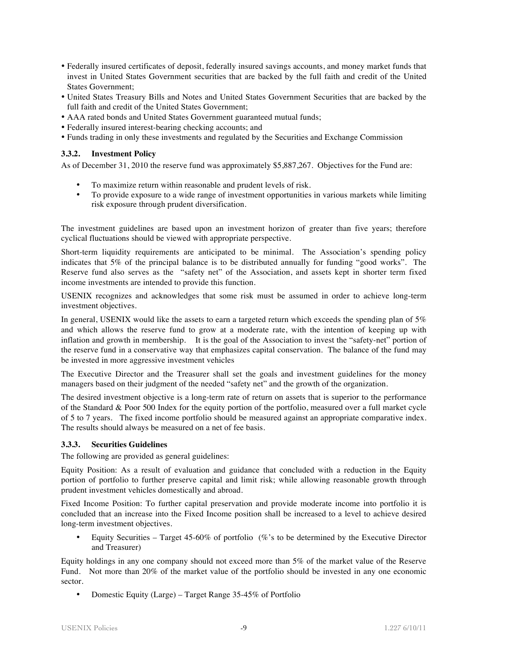- Federally insured certificates of deposit, federally insured savings accounts, and money market funds that invest in United States Government securities that are backed by the full faith and credit of the United States Government;
- United States Treasury Bills and Notes and United States Government Securities that are backed by the full faith and credit of the United States Government;
- AAA rated bonds and United States Government guaranteed mutual funds;
- Federally insured interest-bearing checking accounts; and
- Funds trading in only these investments and regulated by the Securities and Exchange Commission

#### **3.3.2. Investment Policy**

As of December 31, 2010 the reserve fund was approximately \$5,887,267. Objectives for the Fund are:

- To maximize return within reasonable and prudent levels of risk.
- To provide exposure to a wide range of investment opportunities in various markets while limiting risk exposure through prudent diversification.

The investment guidelines are based upon an investment horizon of greater than five years; therefore cyclical fluctuations should be viewed with appropriate perspective.

Short-term liquidity requirements are anticipated to be minimal. The Association's spending policy indicates that 5% of the principal balance is to be distributed annually for funding "good works". The Reserve fund also serves as the "safety net" of the Association, and assets kept in shorter term fixed income investments are intended to provide this function.

USENIX recognizes and acknowledges that some risk must be assumed in order to achieve long-term investment objectives.

In general, USENIX would like the assets to earn a targeted return which exceeds the spending plan of 5% and which allows the reserve fund to grow at a moderate rate, with the intention of keeping up with inflation and growth in membership. It is the goal of the Association to invest the "safety-net" portion of the reserve fund in a conservative way that emphasizes capital conservation. The balance of the fund may be invested in more aggressive investment vehicles

The Executive Director and the Treasurer shall set the goals and investment guidelines for the money managers based on their judgment of the needed "safety net" and the growth of the organization.

The desired investment objective is a long-term rate of return on assets that is superior to the performance of the Standard & Poor 500 Index for the equity portion of the portfolio, measured over a full market cycle of 5 to 7 years. The fixed income portfolio should be measured against an appropriate comparative index. The results should always be measured on a net of fee basis.

# **3.3.3. Securities Guidelines**

The following are provided as general guidelines:

Equity Position: As a result of evaluation and guidance that concluded with a reduction in the Equity portion of portfolio to further preserve capital and limit risk; while allowing reasonable growth through prudent investment vehicles domestically and abroad.

Fixed Income Position: To further capital preservation and provide moderate income into portfolio it is concluded that an increase into the Fixed Income position shall be increased to a level to achieve desired long-term investment objectives.

• Equity Securities – Target 45-60% of portfolio (%'s to be determined by the Executive Director and Treasurer)

Equity holdings in any one company should not exceed more than 5% of the market value of the Reserve Fund. Not more than 20% of the market value of the portfolio should be invested in any one economic sector.

• Domestic Equity (Large) – Target Range 35-45% of Portfolio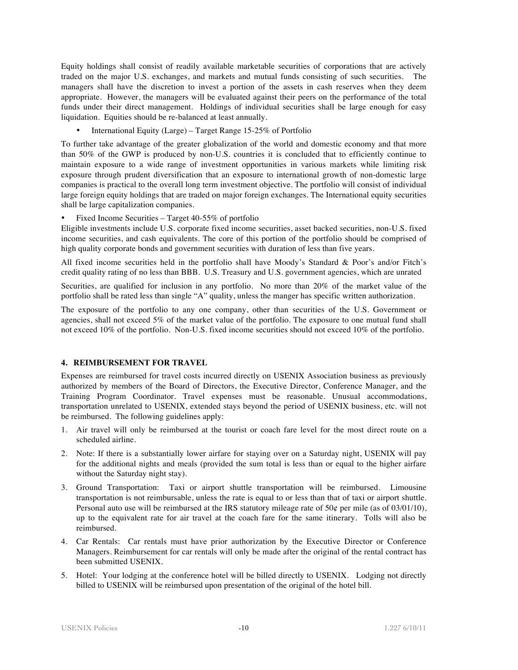Equity holdings shall consist of readily available marketable securities of corporations that are actively traded on the major U.S. exchanges, and markets and mutual funds consisting of such securities. The managers shall have the discretion to invest a portion of the assets in cash reserves when they deem appropriate. However, the managers will be evaluated against their peers on the performance of the total funds under their direct management. Holdings of individual securities shall be large enough for easy liquidation. Equities should be re-balanced at least annually.

• International Equity (Large) – Target Range 15-25% of Portfolio

To further take advantage of the greater globalization of the world and domestic economy and that more than 50% of the GWP is produced by non-U.S. countries it is concluded that to efficiently continue to maintain exposure to a wide range of investment opportunities in various markets while limiting risk exposure through prudent diversification that an exposure to international growth of non-domestic large companies is practical to the overall long term investment objective. The portfolio will consist of individual large foreign equity holdings that are traded on major foreign exchanges. The International equity securities shall be large capitalization companies.

• Fixed Income Securities – Target 40-55% of portfolio

Eligible investments include U.S. corporate fixed income securities, asset backed securities, non-U.S. fixed income securities, and cash equivalents. The core of this portion of the portfolio should be comprised of high quality corporate bonds and government securities with duration of less than five years.

All fixed income securities held in the portfolio shall have Moody's Standard & Poor's and/or Fitch's credit quality rating of no less than BBB. U.S. Treasury and U.S. government agencies, which are unrated

Securities, are qualified for inclusion in any portfolio. No more than 20% of the market value of the portfolio shall be rated less than single "A" quality, unless the manger has specific written authorization.

The exposure of the portfolio to any one company, other than securities of the U.S. Government or agencies, shall not exceed 5% of the market value of the portfolio. The exposure to one mutual fund shall not exceed 10% of the portfolio. Non-U.S. fixed income securities should not exceed 10% of the portfolio.

# **4. REIMBURSEMENT FOR TRAVEL**

Expenses are reimbursed for travel costs incurred directly on USENIX Association business as previously authorized by members of the Board of Directors, the Executive Director, Conference Manager, and the Training Program Coordinator. Travel expenses must be reasonable. Unusual accommodations, transportation unrelated to USENIX, extended stays beyond the period of USENIX business, etc. will not be reimbursed. The following guidelines apply:

- 1. Air travel will only be reimbursed at the tourist or coach fare level for the most direct route on a scheduled airline.
- 2. Note: If there is a substantially lower airfare for staying over on a Saturday night, USENIX will pay for the additional nights and meals (provided the sum total is less than or equal to the higher airfare without the Saturday night stay).
- 3. Ground Transportation: Taxi or airport shuttle transportation will be reimbursed. Limousine transportation is not reimbursable, unless the rate is equal to or less than that of taxi or airport shuttle. Personal auto use will be reimbursed at the IRS statutory mileage rate of  $50¢$  per mile (as of 03/01/10), up to the equivalent rate for air travel at the coach fare for the same itinerary. Tolls will also be reimbursed.
- 4. Car Rentals: Car rentals must have prior authorization by the Executive Director or Conference Managers. Reimbursement for car rentals will only be made after the original of the rental contract has been submitted USENIX.
- 5. Hotel: Your lodging at the conference hotel will be billed directly to USENIX. Lodging not directly billed to USENIX will be reimbursed upon presentation of the original of the hotel bill.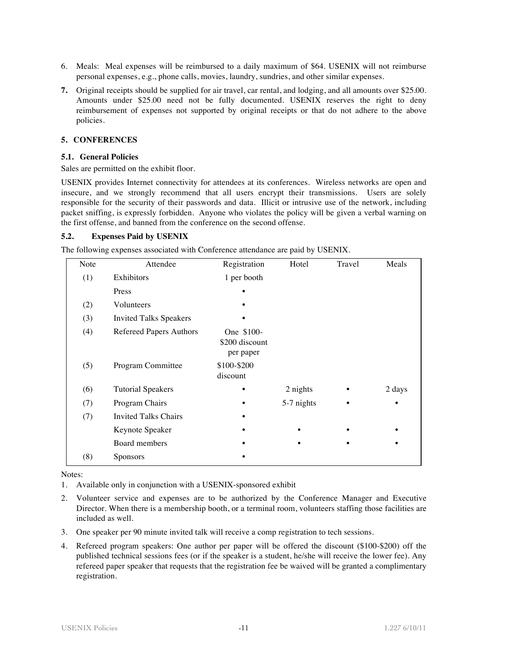- 6. Meals: Meal expenses will be reimbursed to a daily maximum of \$64. USENIX will not reimburse personal expenses, e.g., phone calls, movies, laundry, sundries, and other similar expenses.
- **7.** Original receipts should be supplied for air travel, car rental, and lodging, and all amounts over \$25.00. Amounts under \$25.00 need not be fully documented. USENIX reserves the right to deny reimbursement of expenses not supported by original receipts or that do not adhere to the above policies.

# **5. CONFERENCES**

#### **5.1. General Policies**

Sales are permitted on the exhibit floor.

USENIX provides Internet connectivity for attendees at its conferences. Wireless networks are open and insecure, and we strongly recommend that all users encrypt their transmissions. Users are solely responsible for the security of their passwords and data. Illicit or intrusive use of the network, including packet sniffing, is expressly forbidden. Anyone who violates the policy will be given a verbal warning on the first offense, and banned from the conference on the second offense.

#### **5.2. Expenses Paid by USENIX**

The following expenses associated with Conference attendance are paid by USENIX.

| Note | Attendee                      | Registration                              | Hotel      | Travel | Meals  |
|------|-------------------------------|-------------------------------------------|------------|--------|--------|
| (1)  | Exhibitors                    | 1 per booth                               |            |        |        |
|      | Press                         | $\bullet$                                 |            |        |        |
| (2)  | Volunteers                    |                                           |            |        |        |
| (3)  | <b>Invited Talks Speakers</b> |                                           |            |        |        |
| (4)  | Refereed Papers Authors       | One \$100-<br>\$200 discount<br>per paper |            |        |        |
| (5)  | Program Committee             | \$100-\$200<br>discount                   |            |        |        |
| (6)  | <b>Tutorial Speakers</b>      | $\bullet$                                 | 2 nights   |        | 2 days |
| (7)  | Program Chairs                | ٠                                         | 5-7 nights |        | ٠      |
| (7)  | <b>Invited Talks Chairs</b>   |                                           |            |        |        |
|      | Keynote Speaker               |                                           |            |        |        |
|      | Board members                 |                                           |            |        |        |
| (8)  | Sponsors                      |                                           |            |        |        |
|      |                               |                                           |            |        |        |

Notes:

1. Available only in conjunction with a USENIX-sponsored exhibit

- 2. Volunteer service and expenses are to be authorized by the Conference Manager and Executive Director. When there is a membership booth, or a terminal room, volunteers staffing those facilities are included as well.
- 3. One speaker per 90 minute invited talk will receive a comp registration to tech sessions.
- 4. Refereed program speakers: One author per paper will be offered the discount (\$100-\$200) off the published technical sessions fees (or if the speaker is a student, he/she will receive the lower fee). Any refereed paper speaker that requests that the registration fee be waived will be granted a complimentary registration.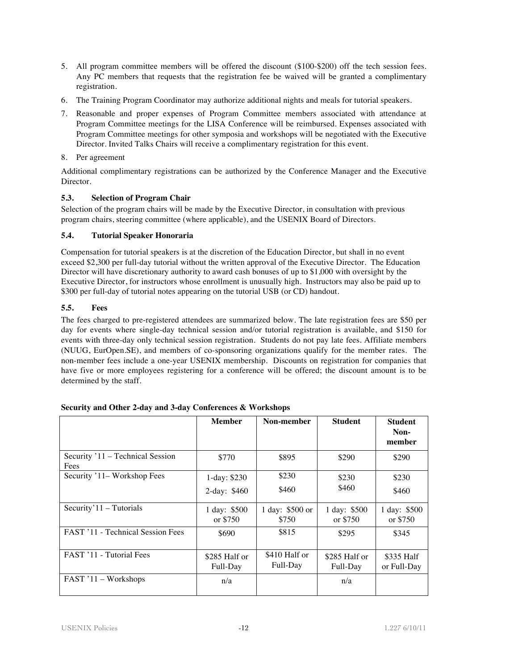- 5. All program committee members will be offered the discount (\$100-\$200) off the tech session fees. Any PC members that requests that the registration fee be waived will be granted a complimentary registration.
- 6. The Training Program Coordinator may authorize additional nights and meals for tutorial speakers.
- 7. Reasonable and proper expenses of Program Committee members associated with attendance at Program Committee meetings for the LISA Conference will be reimbursed. Expenses associated with Program Committee meetings for other symposia and workshops will be negotiated with the Executive Director. Invited Talks Chairs will receive a complimentary registration for this event.
- 8. Per agreement

Additional complimentary registrations can be authorized by the Conference Manager and the Executive Director.

# **5.3. Selection of Program Chair**

Selection of the program chairs will be made by the Executive Director, in consultation with previous program chairs, steering committee (where applicable), and the USENIX Board of Directors.

# **5.4. Tutorial Speaker Honoraria**

Compensation for tutorial speakers is at the discretion of the Education Director, but shall in no event exceed \$2,300 per full-day tutorial without the written approval of the Executive Director. The Education Director will have discretionary authority to award cash bonuses of up to \$1,000 with oversight by the Executive Director, for instructors whose enrollment is unusually high. Instructors may also be paid up to \$300 per full-day of tutorial notes appearing on the tutorial USB (or CD) handout.

# **5.5. Fees**

The fees charged to pre-registered attendees are summarized below. The late registration fees are \$50 per day for events where single-day technical session and/or tutorial registration is available, and \$150 for events with three-day only technical session registration. Students do not pay late fees. Affiliate members (NUUG, EurOpen.SE), and members of co-sponsoring organizations qualify for the member rates. The non-member fees include a one-year USENIX membership. Discounts on registration for companies that have five or more employees registering for a conference will be offered; the discount amount is to be determined by the staff.

|                                          | <b>Member</b>                  | Non-member                | <b>Student</b>            | <b>Student</b><br>Non-<br>member |
|------------------------------------------|--------------------------------|---------------------------|---------------------------|----------------------------------|
| Security '11 – Technical Session<br>Fees | \$770                          | \$895                     | \$290                     | \$290                            |
| Security '11– Workshop Fees              | 1-day: $$230$<br>2-day: $$460$ | \$230<br>\$460            | \$230<br>\$460            | \$230<br>\$460                   |
| Security' $11 -$ Tutorials               | 1 day: \$500<br>or \$750       | 1 day: \$500 or<br>\$750  | 1 day: \$500<br>or \$750  | 1 day: \$500<br>or \$750         |
| <b>FAST '11 - Technical Session Fees</b> | \$690                          | \$815                     | \$295                     | \$345                            |
| FAST '11 - Tutorial Fees                 | \$285 Half or<br>Full-Day      | \$410 Half or<br>Full-Day | \$285 Half or<br>Full-Day | \$335 Half<br>or Full-Day        |
| FAST '11 - Workshops                     | n/a                            |                           | n/a                       |                                  |

# **Security and Other 2-day and 3-day Conferences & Workshops**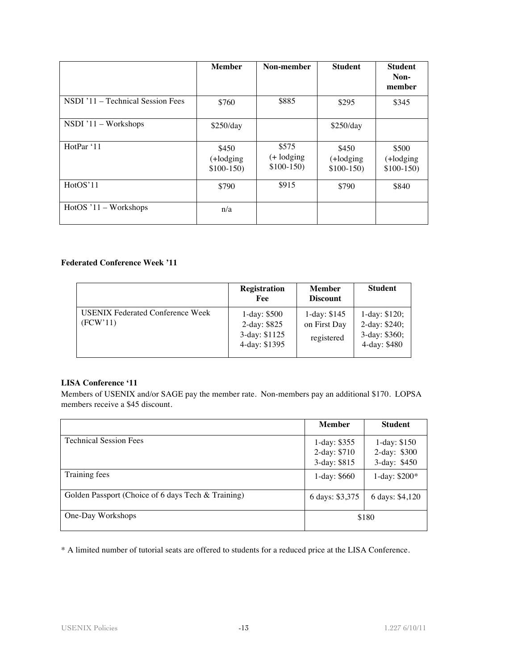|                                   | <b>Member</b>                     | Non-member                           | <b>Student</b>                    | <b>Student</b><br>Non-<br>member  |
|-----------------------------------|-----------------------------------|--------------------------------------|-----------------------------------|-----------------------------------|
| NSDI '11 – Technical Session Fees | \$760                             | \$885                                | \$295                             | \$345                             |
| NSDI '11 - Workshops              | \$250/day                         |                                      | \$250/day                         |                                   |
| HotPar '11                        | \$450<br>(+lodging<br>$$100-150)$ | \$575<br>$(+$ lodging<br>$$100-150)$ | \$450<br>(+lodging<br>$$100-150)$ | \$500<br>(+lodging<br>$$100-150)$ |
| HotOS'11                          | \$790                             | \$915                                | \$790                             | \$840                             |
| $HotOS'11-Workshops$              | n/a                               |                                      |                                   |                                   |

# **Federated Conference Week '11**

|                                                     | <b>Registration</b><br>Fee                                      | Member<br><b>Discount</b>                   | <b>Student</b>                                                   |
|-----------------------------------------------------|-----------------------------------------------------------------|---------------------------------------------|------------------------------------------------------------------|
| <b>USENIX Federated Conference Week</b><br>(FCW'11) | 1-day: $$500$<br>2-day: \$825<br>3-day: \$1125<br>4-day: \$1395 | 1-day: $$145$<br>on First Day<br>registered | 1-day: $$120;$<br>2-day: \$240;<br>3-day: \$360;<br>4-day: \$480 |

#### **LISA Conference '11**

Members of USENIX and/or SAGE pay the member rate. Non-members pay an additional \$170. LOPSA members receive a \$45 discount.

|                                                    | <b>Member</b>                                 | <b>Student</b>                                |
|----------------------------------------------------|-----------------------------------------------|-----------------------------------------------|
| <b>Technical Session Fees</b>                      | 1-day: $$355$<br>2-day: \$710<br>3-day: \$815 | 1-day: $$150$<br>2-day: \$300<br>3-day: \$450 |
| Training fees                                      | 1-day: $$660$                                 | 1-day: \$200*                                 |
| Golden Passport (Choice of 6 days Tech & Training) | 6 days: \$3,375                               | 6 days: \$4,120                               |
| One-Day Workshops                                  |                                               | \$180                                         |

\* A limited number of tutorial seats are offered to students for a reduced price at the LISA Conference.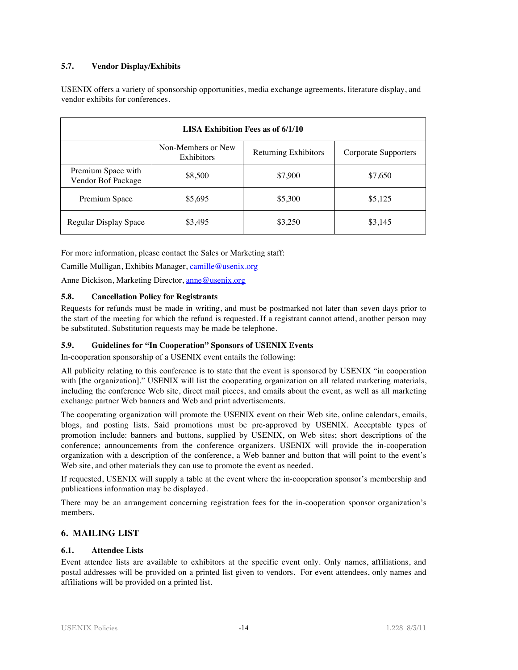# **5.7. Vendor Display/Exhibits**

USENIX offers a variety of sponsorship opportunities, media exchange agreements, literature display, and vendor exhibits for conferences.

| LISA Exhibition Fees as of 6/1/10        |                                  |                      |                      |  |  |
|------------------------------------------|----------------------------------|----------------------|----------------------|--|--|
|                                          | Non-Members or New<br>Exhibitors | Returning Exhibitors | Corporate Supporters |  |  |
| Premium Space with<br>Vendor Bof Package | \$8,500                          | \$7,900              | \$7,650              |  |  |
| Premium Space                            | \$5,695                          | \$5,300              | \$5,125              |  |  |
| Regular Display Space                    | \$3,495                          | \$3,250              | \$3,145              |  |  |

For more information, please contact the Sales or Marketing staff:

Camille Mulligan, Exhibits Manager, camille@usenix.org

Anne Dickison, Marketing Director, anne@usenix.org

# **5.8. Cancellation Policy for Registrants**

Requests for refunds must be made in writing, and must be postmarked not later than seven days prior to the start of the meeting for which the refund is requested. If a registrant cannot attend, another person may be substituted. Substitution requests may be made be telephone.

# **5.9. Guidelines for "In Cooperation" Sponsors of USENIX Events**

In-cooperation sponsorship of a USENIX event entails the following:

All publicity relating to this conference is to state that the event is sponsored by USENIX "in cooperation with [the organization]." USENIX will list the cooperating organization on all related marketing materials, including the conference Web site, direct mail pieces, and emails about the event, as well as all marketing exchange partner Web banners and Web and print advertisements.

The cooperating organization will promote the USENIX event on their Web site, online calendars, emails, blogs, and posting lists. Said promotions must be pre-approved by USENIX. Acceptable types of promotion include: banners and buttons, supplied by USENIX, on Web sites; short descriptions of the conference; announcements from the conference organizers. USENIX will provide the in-cooperation organization with a description of the conference, a Web banner and button that will point to the event's Web site, and other materials they can use to promote the event as needed.

If requested, USENIX will supply a table at the event where the in-cooperation sponsor's membership and publications information may be displayed.

There may be an arrangement concerning registration fees for the in-cooperation sponsor organization's members.

# **6. MAILING LIST**

# **6.1. Attendee Lists**

Event attendee lists are available to exhibitors at the specific event only. Only names, affiliations, and postal addresses will be provided on a printed list given to vendors. For event attendees, only names and affiliations will be provided on a printed list.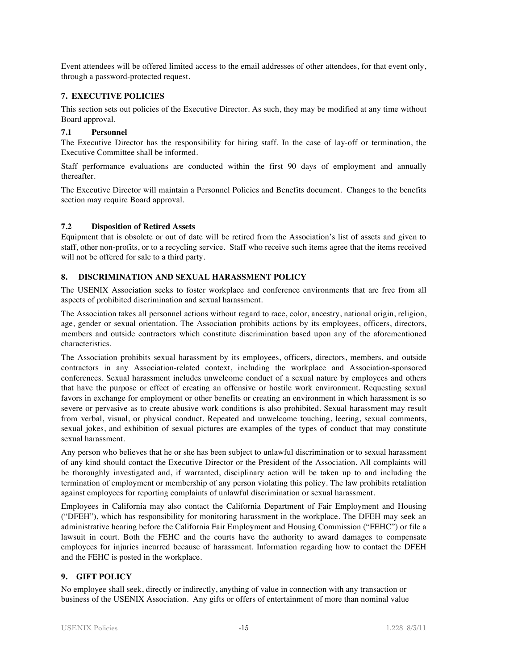Event attendees will be offered limited access to the email addresses of other attendees, for that event only, through a password-protected request.

# **7. EXECUTIVE POLICIES**

This section sets out policies of the Executive Director. As such, they may be modified at any time without Board approval.

# **7.1 Personnel**

The Executive Director has the responsibility for hiring staff. In the case of lay-off or termination, the Executive Committee shall be informed.

Staff performance evaluations are conducted within the first 90 days of employment and annually thereafter.

The Executive Director will maintain a Personnel Policies and Benefits document. Changes to the benefits section may require Board approval.

# **7.2 Disposition of Retired Assets**

Equipment that is obsolete or out of date will be retired from the Association's list of assets and given to staff, other non-profits, or to a recycling service. Staff who receive such items agree that the items received will not be offered for sale to a third party.

# **8. DISCRIMINATION AND SEXUAL HARASSMENT POLICY**

The USENIX Association seeks to foster workplace and conference environments that are free from all aspects of prohibited discrimination and sexual harassment.

The Association takes all personnel actions without regard to race, color, ancestry, national origin, religion, age, gender or sexual orientation. The Association prohibits actions by its employees, officers, directors, members and outside contractors which constitute discrimination based upon any of the aforementioned characteristics.

The Association prohibits sexual harassment by its employees, officers, directors, members, and outside contractors in any Association-related context, including the workplace and Association-sponsored conferences. Sexual harassment includes unwelcome conduct of a sexual nature by employees and others that have the purpose or effect of creating an offensive or hostile work environment. Requesting sexual favors in exchange for employment or other benefits or creating an environment in which harassment is so severe or pervasive as to create abusive work conditions is also prohibited. Sexual harassment may result from verbal, visual, or physical conduct. Repeated and unwelcome touching, leering, sexual comments, sexual jokes, and exhibition of sexual pictures are examples of the types of conduct that may constitute sexual harassment.

Any person who believes that he or she has been subject to unlawful discrimination or to sexual harassment of any kind should contact the Executive Director or the President of the Association. All complaints will be thoroughly investigated and, if warranted, disciplinary action will be taken up to and including the termination of employment or membership of any person violating this policy. The law prohibits retaliation against employees for reporting complaints of unlawful discrimination or sexual harassment.

Employees in California may also contact the California Department of Fair Employment and Housing ("DFEH"), which has responsibility for monitoring harassment in the workplace. The DFEH may seek an administrative hearing before the California Fair Employment and Housing Commission ("FEHC") or file a lawsuit in court. Both the FEHC and the courts have the authority to award damages to compensate employees for injuries incurred because of harassment. Information regarding how to contact the DFEH and the FEHC is posted in the workplace.

# **9. GIFT POLICY**

No employee shall seek, directly or indirectly, anything of value in connection with any transaction or business of the USENIX Association. Any gifts or offers of entertainment of more than nominal value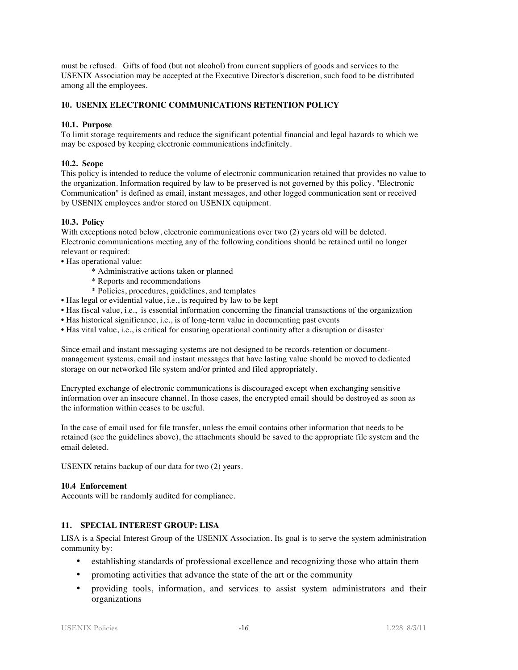must be refused. Gifts of food (but not alcohol) from current suppliers of goods and services to the USENIX Association may be accepted at the Executive Director's discretion, such food to be distributed among all the employees.

# **10. USENIX ELECTRONIC COMMUNICATIONS RETENTION POLICY**

#### **10.1. Purpose**

To limit storage requirements and reduce the significant potential financial and legal hazards to which we may be exposed by keeping electronic communications indefinitely.

#### **10.2. Scope**

This policy is intended to reduce the volume of electronic communication retained that provides no value to the organization. Information required by law to be preserved is not governed by this policy. "Electronic Communication" is defined as email, instant messages, and other logged communication sent or received by USENIX employees and/or stored on USENIX equipment.

#### **10.3. Policy**

With exceptions noted below, electronic communications over two  $(2)$  years old will be deleted. Electronic communications meeting any of the following conditions should be retained until no longer relevant or required:

- Has operational value:
	- \* Administrative actions taken or planned
	- \* Reports and recommendations
	- \* Policies, procedures, guidelines, and templates
- Has legal or evidential value, i.e., is required by law to be kept
- Has fiscal value, i.e., is essential information concerning the financial transactions of the organization
- Has historical significance, i.e., is of long-term value in documenting past events
- Has vital value, i.e., is critical for ensuring operational continuity after a disruption or disaster

Since email and instant messaging systems are not designed to be records-retention or documentmanagement systems, email and instant messages that have lasting value should be moved to dedicated storage on our networked file system and/or printed and filed appropriately.

Encrypted exchange of electronic communications is discouraged except when exchanging sensitive information over an insecure channel. In those cases, the encrypted email should be destroyed as soon as the information within ceases to be useful.

In the case of email used for file transfer, unless the email contains other information that needs to be retained (see the guidelines above), the attachments should be saved to the appropriate file system and the email deleted.

USENIX retains backup of our data for two (2) years.

#### **10.4 Enforcement**

Accounts will be randomly audited for compliance.

# **11. SPECIAL INTEREST GROUP: LISA**

LISA is a Special Interest Group of the USENIX Association. Its goal is to serve the system administration community by:

- establishing standards of professional excellence and recognizing those who attain them
- promoting activities that advance the state of the art or the community
- providing tools, information, and services to assist system administrators and their organizations